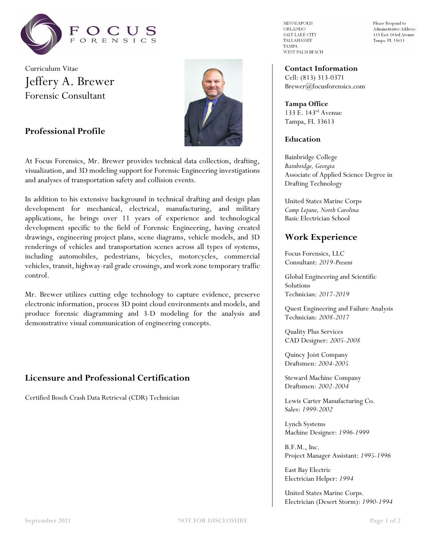

Curriculum Vitae Jeffery A. Brewer Forensic Consultant

**Professional Profile**



At Focus Forensics, Mr. Brewer provides technical data collection, drafting,

and analyses of transportation safety and collision events.

In addition to his extensive background in technical drafting and design plan development for mechanical, electrical, manufacturing, and military applications, he brings over 11 years of experience and technological development specific to the field of Forensic Engineering, having created drawings, engineering project plans, scene diagrams, vehicle models, and 3D renderings of vehicles and transportation scenes across all types of systems, including automobiles, pedestrians, bicycles, motorcycles, commercial vehicles, transit, highway-rail grade crossings, and work zone temporary traffic control.

visualization, and 3D modeling support for Forensic Engineering investigations

Mr. Brewer utilizes cutting edge technology to capture evidence, preserve electronic information, process 3D point cloud environments and models, and produce forensic diagramming and 3-D modeling for the analysis and demonstrative visual communication of engineering concepts.

## **Licensure and Professional Certification**

Certified Bosch Crash Data Retrieval (CDR) Technician

**MINNEAPOLIS** ORLANDO SALT LAKE CITY TALLAHASSEE **TAMPA** WEST PALM BEACH Please Respond to Administrative Address: 133 East 143rd Avenue Tampa, FL 33613

# **Contact Information**

Cell: (813) 313-0371 Brewer@focusforensics.com

**Tampa Office** 133 E. 143rd Avenue Tampa, FL 33613

#### **Education**

Bainbridge College *Bainbridge, Georgia* Associate of Applied Science Degree in Drafting Technology

United States Marine Corps *Camp Lejune, North Carolina* Basic Electrician School

# **Work Experience**

Focus Forensics, LLC Consultant: *2019-Present*

Global Engineering and Scientific Solutions Technician: *2017-2019*

Quest Engineering and Failure Analysis Technician: *2008-2017*

Quality Plus Services CAD Designer: *2005-2008*

Quincy Joist Company Draftsmen: *2004-2005*

Steward Machine Company Draftsmen: *2002-2004*

Lewis Carter Manufacturing Co. Sales: *1999-2002*

Lynch Systems Machine Designer: *1996-1999*

B.F.M., Inc. Project Manager Assistant: *1995-1996*

East Bay Electric Electrician Helper: *1994*

United States Marine Corps. Electrician (Desert Storm): *1990-1994*